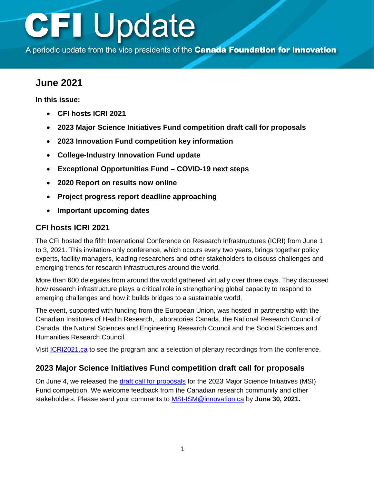A periodic update from the vice presidents of the Canada Foundation for Innovation

## **June 2021**

**In this issue:** 

- **CFI hosts ICRI 2021**
- **[2023 Major Science Initiatives Fund competition draft call for proposals](#page-1-0)**
- **2023 [Innovation Fund](#page-1-0) competition key information**
- **[College-Industry Innovation Fund update](#page-1-0)**
- **[Exceptional Opportunities Fund COVID-19](#page-2-0) next steps**
- **[2020 Report on results now online](#page-2-0)**
- **[Project progress report](#page-3-0) deadline approaching**
- **[Important upcoming dates](#page-3-0)**

## **CFI hosts ICRI 2021**

The CFI hosted the fifth International Conference on Research Infrastructures (ICRI) from June 1 to 3, 2021. This invitation-only conference, which occurs every two years, brings together policy experts, facility managers, leading researchers and other stakeholders to discuss challenges and emerging trends for research infrastructures around the world.

More than 600 delegates from around the world gathered virtually over three days. They discussed how research infrastructure plays a critical role in strengthening global capacity to respond to emerging challenges and how it builds bridges to a sustainable world.

The event, supported with funding from the European Union, was hosted in partnership with the Canadian Institutes of Health Research, Laboratories Canada, the National Research Council of Canada, the Natural Sciences and Engineering Research Council and the Social Sciences and Humanities Research Council.

Visit [ICRI2021.ca](http://icri2021.ca/) to see the program and a selection of plenary recordings from the conference.

## **2023 Major Science Initiatives Fund competition draft call for proposals**

On June 4, we released the [draft call for proposals](https://www.innovation.ca/awards/major-science-initiatives-fund) for the 2023 Major Science Initiatives (MSI) Fund competition. We welcome feedback from the Canadian research community and other stakeholders. Please send your comments to [MSI-ISM@innovation.ca](mailto:MSI-ISM@innovation.ca) by **June 30, 2021.**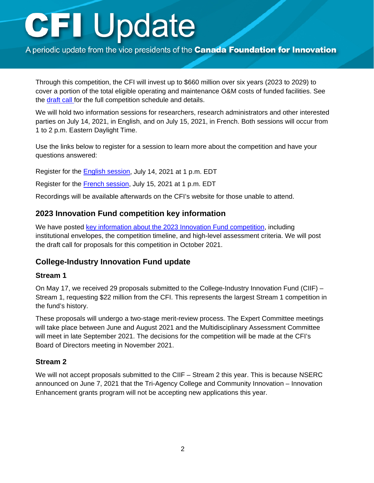<span id="page-1-0"></span>A periodic update from the vice presidents of the Canada Foundation for Innovation

Through this competition, the CFI will invest up to \$660 million over six years (2023 to 2029) to cover a portion of the total eligible operating and maintenance O&M costs of funded facilities. See the [draft call f](https://www.innovation.ca/awards/major-science-initiatives-fund)or the full competition schedule and details.

We will hold two information sessions for researchers, research administrators and other interested parties on July 14, 2021, in English, and on July 15, 2021, in French. Both sessions will occur from 1 to 2 p.m. Eastern Daylight Time.

Use the links below to register for a session to learn more about the competition and have your questions answered:

Register for the [English session,](https://zoom.us/webinar/register/WN_r9uKQ6jgRwKYXs2MXR0R7w) July 14, 2021 at 1 p.m. EDT

Register for the **French session**, July 15, 2021 at 1 p.m. EDT

Recordings will be available afterwards on the CFI's website for those unable to attend.

## **2023 Innovation Fund competition key information**

We have posted [key information about the 2023 Innovation Fund competition,](https://www.innovation.ca/awards/2023-innovation-fund-competition) including institutional envelopes, the competition timeline, and high-level assessment criteria. We will post the draft call for proposals for this competition in October 2021.

#### **College-Industry Innovation Fund update**

#### **Stream 1**

On May 17, we received 29 proposals submitted to the College-Industry Innovation Fund (CIIF) – Stream 1, requesting \$22 million from the CFI. This represents the largest Stream 1 competition in the fund's history.

These proposals will undergo a two-stage merit-review process. The Expert Committee meetings will take place between June and August 2021 and the Multidisciplinary Assessment Committee will meet in late September 2021. The decisions for the competition will be made at the CFI's Board of Directors meeting in November 2021.

#### **Stream 2**

We will not accept proposals submitted to the CIIF – Stream 2 this year. This is because NSERC announced on June 7, 2021 that the Tri-Agency College and Community Innovation – Innovation Enhancement grants program will not be accepting new applications this year.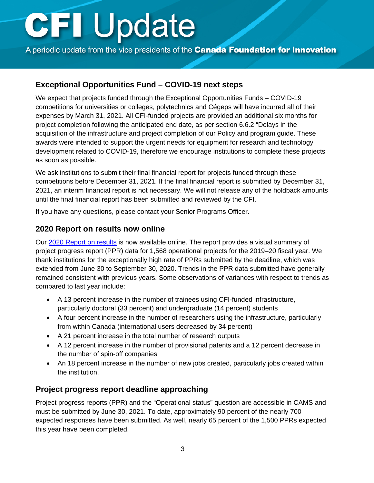<span id="page-2-0"></span>A periodic update from the vice presidents of the Canada Foundation for Innovation

## **Exceptional Opportunities Fund – COVID-19 next steps**

We expect that projects funded through the Exceptional Opportunities Funds – COVID-19 competitions for universities or colleges, polytechnics and Cégeps will have incurred all of their expenses by March 31, 2021. All CFI-funded projects are provided an additional six months for project completion following the anticipated end date, as per section 6.6.2 "Delays in the acquisition of the infrastructure and project completion of our Policy and program guide. These awards were intended to support the urgent needs for equipment for research and technology development related to COVID-19, therefore we encourage institutions to complete these projects as soon as possible.

We ask institutions to submit their final financial report for projects funded through these competitions before December 31, 2021. If the final financial report is submitted by December 31, 2021, an interim financial report is not necessary. We will not release any of the holdback amounts until the final financial report has been submitted and reviewed by the CFI.

If you have any questions, please contact your Senior Programs Officer.

## **2020 Report on results now online**

Our [2020 Report on results](https://www.innovation.ca/node/61/reporting-on-results) is now available online. The report provides a visual summary of project progress report (PPR) data for 1,568 operational projects for the 2019–20 fiscal year. We thank institutions for the exceptionally high rate of PPRs submitted by the deadline, which was extended from June 30 to September 30, 2020. Trends in the PPR data submitted have generally remained consistent with previous years. Some observations of variances with respect to trends as compared to last year include:

- A 13 percent increase in the number of trainees using CFI-funded infrastructure, particularly doctoral (33 percent) and undergraduate (14 percent) students
- A four percent increase in the number of researchers using the infrastructure, particularly from within Canada (international users decreased by 34 percent)
- A 21 percent increase in the total number of research outputs
- A 12 percent increase in the number of provisional patents and a 12 percent decrease in the number of spin-off companies
- An 18 percent increase in the number of new jobs created, particularly jobs created within the institution.

## **Project progress report deadline approaching**

Project progress reports (PPR) and the "Operational status" question are accessible in CAMS and must be submitted by June 30, 2021. To date, approximately 90 percent of the nearly 700 expected responses have been submitted. As well, nearly 65 percent of the 1,500 PPRs expected this year have been completed.